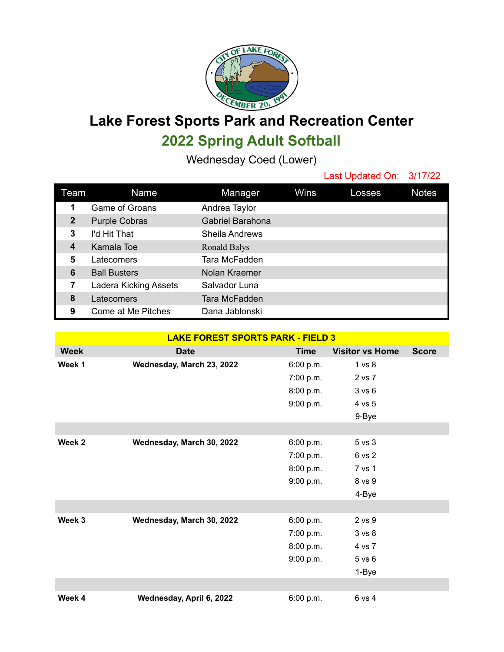

**Lake Forest Sports Park and Recreation Center 2022 Spring Adult Softball**

Wednesday Coed (Lower)

Last Updated On: 3/17/22

| Team         | Name                  | Manager               | Wins | Losses | <b>Notes</b> |
|--------------|-----------------------|-----------------------|------|--------|--------------|
| 1            | Game of Groans        | Andrea Taylor         |      |        |              |
| $\mathbf{2}$ | <b>Purple Cobras</b>  | Gabriel Barahona      |      |        |              |
| 3            | I'd Hit That          | <b>Sheila Andrews</b> |      |        |              |
| 4            | Kamala Toe            | Ronald Balys          |      |        |              |
| 5            | Latecomers            | Tara McFadden         |      |        |              |
| 6            | <b>Ball Busters</b>   | Nolan Kraemer         |      |        |              |
| 7            | Ladera Kicking Assets | Salvador Luna         |      |        |              |
| 8            | Latecomers            | Tara McFadden         |      |        |              |
| 9            | Come at Me Pitches    | Dana Jablonski        |      |        |              |

| <b>LAKE FOREST SPORTS PARK - FIELD 3</b> |                           |             |                        |              |  |  |  |  |
|------------------------------------------|---------------------------|-------------|------------------------|--------------|--|--|--|--|
| <b>Week</b>                              | <b>Date</b>               | <b>Time</b> | <b>Visitor vs Home</b> | <b>Score</b> |  |  |  |  |
| Week 1                                   | Wednesday, March 23, 2022 | 6:00 p.m.   | 1 vs 8                 |              |  |  |  |  |
|                                          |                           | 7:00 p.m.   | 2 vs 7                 |              |  |  |  |  |
|                                          |                           | 8:00 p.m.   | 3 v s 6                |              |  |  |  |  |
|                                          |                           | 9:00 p.m.   | 4 vs 5                 |              |  |  |  |  |
|                                          |                           |             | 9-Bye                  |              |  |  |  |  |
|                                          |                           |             |                        |              |  |  |  |  |
| Week <sub>2</sub>                        | Wednesday, March 30, 2022 | 6:00 p.m.   | 5 vs 3                 |              |  |  |  |  |
|                                          |                           | 7:00 p.m.   | 6 vs 2                 |              |  |  |  |  |
|                                          |                           | 8:00 p.m.   | 7 vs 1                 |              |  |  |  |  |
|                                          |                           | 9:00 p.m.   | 8 vs 9                 |              |  |  |  |  |
|                                          |                           |             | 4-Bye                  |              |  |  |  |  |
|                                          |                           |             |                        |              |  |  |  |  |
| Week 3                                   | Wednesday, March 30, 2022 | 6:00 p.m.   | 2 vs 9                 |              |  |  |  |  |
|                                          |                           | 7:00 p.m.   | 3 v s 8                |              |  |  |  |  |
|                                          |                           | 8:00 p.m.   | 4 vs 7                 |              |  |  |  |  |
|                                          |                           | 9:00 p.m.   | $5$ vs $6$             |              |  |  |  |  |
|                                          |                           |             | 1-Bye                  |              |  |  |  |  |
|                                          |                           |             |                        |              |  |  |  |  |
| Week 4                                   | Wednesday, April 6, 2022  | 6:00 p.m.   | 6 vs 4                 |              |  |  |  |  |